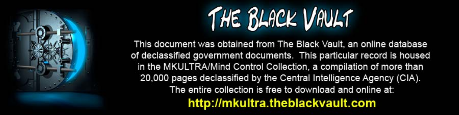

This document was obtained from The Black Vault, an online database of declassified government documents. This particular record is housed in the MKULTRA/Mind Control Collection, a compilation of more than 20,000 pages declassified by the Central Intelligence Agency (CIA). The entire collection is free to download and online at: http://mkultra.theblackvault.com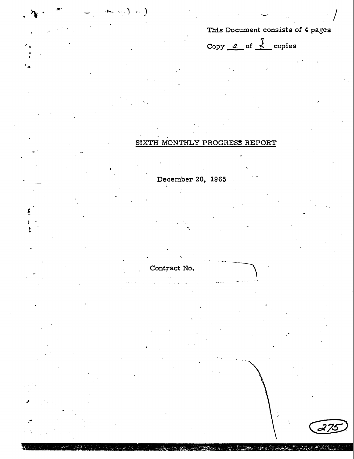# This Document consists of 4 pages

27.

Copy 2 of  $\frac{7}{5}$  copies

# SIXTH MONTHLY PROGRESS REPORT

wate di

热燃度

 $\mathbb{Z}$  is the same of  $\mathbb{Z}$ 

December 20, 1965

Contract No.

 $\rightarrow$  ...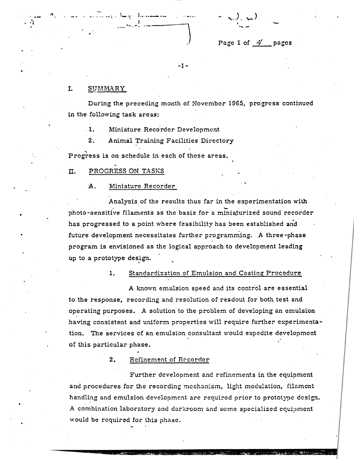$=$   $\sqrt{2}$ ,  $\sqrt{2}$ 

# Page 1 of  $\frac{A'}{B}$  pages

-1-

## I. SUMMARY

-......... ~ .

 $\mathbf{r}$ 

During the preceding month of November 1965, progress continued in the following task areas:

·.

1. Miniature Recorder Development

2. Animal Training Facilities Directory

Progress is on schedule in each of these areas.

n. PROGRESS ON TASKS

## A. Miniature Recorder

Analysis of the results thus far in the experimentation with photo-sensitive filaments as the basis for a miniaturized sound recorder has progressed to a point where feasibility has been established and future development necessitates further programming. A three -phase program is envisioned as the logical approach to development leading up to a prototype design.

1. Standardization of Emulsion and Coating Procedure

A known emulsion speed and its control are essential to the response, recording and resolution of readout for both test and operating purposes. *A* solution to the problem of developing an emulsion having consistent and uniform properties will require further experimentation. The services of an emulsion consultant would expedite development of this particular phase.

2. Refinement of Recorder

Further development and refinements in the equipment and procedures for the recording mechanism, light modulation, filament handling and emulsion development are required prior to prototype design. A combination laboratory and darkroom and some specialized equipment would be required for this phase.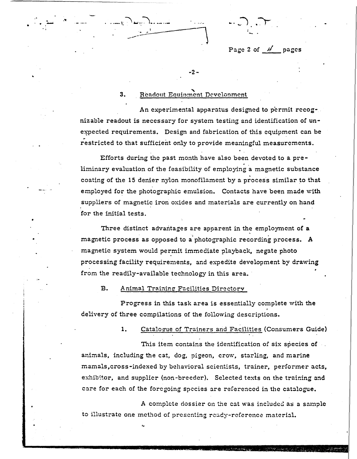Page 2 of  $\mathcal{L}$  pages

## 3. Readout Equipment Development

-2-

 $\ldots, \bigcirc$  ما $\ldots$  ...

. ... ........ •

•

An experimental apparatus designed to permit recog-. nizable readout is necessary for system testing and identification of unexpected requirements. Design and fabrication of this equipment can be restricted to that sufficient only to provide meaningful measurements.

Efforts during the past month have also been devoted to a preliminary evaluation of the feasibility of employing a magnetic substance coating of the 15 denier nylon monofilament by a process similar to that employed for the photographic emulsion. Contacts have been made with suppliers of magnetic iron oxides and materials are currently on hand for the initial tests.

Three distinct advantages are apparent in the employment of **a**  magnetic process as opposed to a· photographic recording process. **A**  magnetic system would permit immediate playback, negate photo processing facility requirements, and expedite development by drawing from the readily-available technology in this area.

### B. Animal Training Facilities Directory

..

Progress in this task area is essentially complete with the .<br>delivery of three compilations of the following descriptions.

1. Catalogue of Trainers and Facilities (Consumers Guide)

This item contains the identification of six species of animals, including the cat, dog, pigeon, crow, starling, and marine mamals,cross-indexed by behavioral scientists, trainer, performer acts, exhibitor, and supplier (non-breeder). Selected texts on the training and care for each of the foregoing species are referenced in the catalogue.

A complete dossier on the cat was included as a sample to illustrate one method of presenting ready-reference material.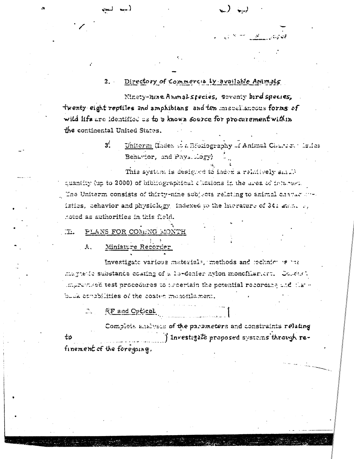#### Directory of Commercia Ly available Animals  $2.$

Ninety-hine Animal species, seventy bird species, twenty eight reptiles and amphibians and ten miscellancous forms of wild life are identified as to a known source for procurement within the continental United States.

> $3<sup>l</sup>$ Uniterm (Index to a Bibliography of Animal Charles : Islics Behavior, and Pays. Logy)

This system is designed to index a relatively small quantity (up to 2000) of bibliographical clientons in the area of interest. The Uniterm consists of thirty-nine subjects relating to animal characters. istics, behavior and physiclogy indexed to the literature of 341 attn. .. hoted as authorities in this field.

#### PLANS FOR COMENG MONTH  $\overline{\mathbf{m}}$

 $\mathbf{A}$ . Miniature Recorder

Investigate various materials, methods and rechnicules the magnetic substance coating of a lo-denier hylon monofilariert. Colearly improvised test procedures to ascertain the potential recording and that  $\cdot$ buck consbilities of the coated monofilament.

 $\mathcal{D}_{\mathcal{L}}$  . RF and Optical

Complete analysis of the parameters and constraints relating Investigate proposed systems through reto finement of the foregoing.